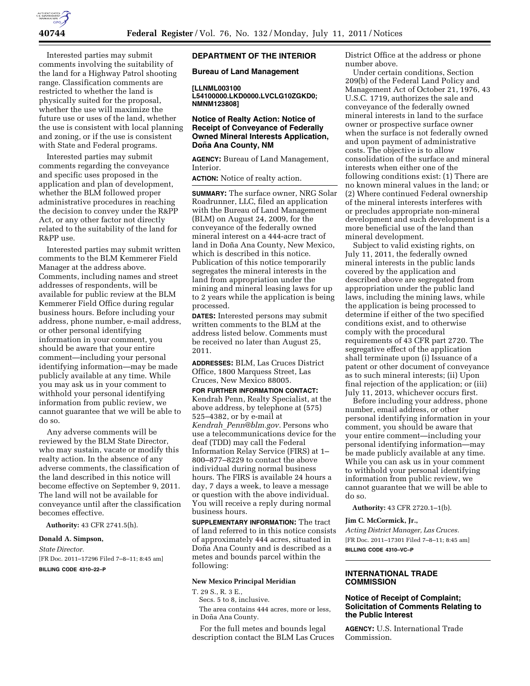

Interested parties may submit comments involving the suitability of the land for a Highway Patrol shooting range. Classification comments are restricted to whether the land is physically suited for the proposal, whether the use will maximize the future use or uses of the land, whether the use is consistent with local planning and zoning, or if the use is consistent with State and Federal programs.

Interested parties may submit comments regarding the conveyance and specific uses proposed in the application and plan of development, whether the BLM followed proper administrative procedures in reaching the decision to convey under the R&PP Act, or any other factor not directly related to the suitability of the land for R&PP use.

Interested parties may submit written comments to the BLM Kemmerer Field Manager at the address above. Comments, including names and street addresses of respondents, will be available for public review at the BLM Kemmerer Field Office during regular business hours. Before including your address, phone number, e-mail address, or other personal identifying information in your comment, you should be aware that your entire comment—including your personal identifying information—may be made publicly available at any time. While you may ask us in your comment to withhold your personal identifying information from public review, we cannot guarantee that we will be able to do so.

Any adverse comments will be reviewed by the BLM State Director, who may sustain, vacate or modify this realty action. In the absence of any adverse comments, the classification of the land described in this notice will become effective on September 9, 2011. The land will not be available for conveyance until after the classification becomes effective.

**Authority:** 43 CFR 2741.5(h).

## **Donald A. Simpson,**

*State Director.*  [FR Doc. 2011–17296 Filed 7–8–11; 8:45 am] **BILLING CODE 4310–22–P** 

## **DEPARTMENT OF THE INTERIOR**

**Bureau of Land Management** 

#### **[LLNML003100**

**L54100000.LKD0000.LVCLG10ZGKD0; NMNM123808]** 

# **Notice of Realty Action: Notice of Receipt of Conveyance of Federally Owned Mineral Interests Application, Don˜ a Ana County, NM**

**AGENCY:** Bureau of Land Management, Interior.

**ACTION:** Notice of realty action.

**SUMMARY:** The surface owner, NRG Solar Roadrunner, LLC, filed an application with the Bureau of Land Management (BLM) on August 24, 2009, for the conveyance of the federally owned mineral interest on a 444-acre tract of land in Doña Ana County, New Mexico, which is described in this notice. Publication of this notice temporarily segregates the mineral interests in the land from appropriation under the mining and mineral leasing laws for up to 2 years while the application is being processed.

**DATES:** Interested persons may submit written comments to the BLM at the address listed below. Comments must be received no later than August 25, 2011.

**ADDRESSES:** BLM, Las Cruces District Office, 1800 Marquess Street, Las Cruces, New Mexico 88005.

## **FOR FURTHER INFORMATION CONTACT:**

Kendrah Penn, Realty Specialist, at the above address, by telephone at (575) 525–4382, or by e-mail at *Kendrah*\_*[Penn@blm.gov.](mailto:Kendrah_Penn@blm.gov)* Persons who use a telecommunications device for the deaf (TDD) may call the Federal Information Relay Service (FIRS) at 1– 800–877–8229 to contact the above individual during normal business hours. The FIRS is available 24 hours a day, 7 days a week, to leave a message or question with the above individual. You will receive a reply during normal business hours.

**SUPPLEMENTARY INFORMATION:** The tract of land referred to in this notice consists of approximately 444 acres, situated in Doña Ana County and is described as a metes and bounds parcel within the following:

## **New Mexico Principal Meridian**

T. 29 S., R. 3 E.,

Secs. 5 to 8, inclusive. The area contains 444 acres, more or less, in Doña Ana County.

For the full metes and bounds legal description contact the BLM Las Cruces District Office at the address or phone number above.

Under certain conditions, Section 209(b) of the Federal Land Policy and Management Act of October 21, 1976, 43 U.S.C. 1719, authorizes the sale and conveyance of the federally owned mineral interests in land to the surface owner or prospective surface owner when the surface is not federally owned and upon payment of administrative costs. The objective is to allow consolidation of the surface and mineral interests when either one of the following conditions exist: (1) There are no known mineral values in the land; or (2) Where continued Federal ownership of the mineral interests interferes with or precludes appropriate non-mineral development and such development is a more beneficial use of the land than mineral development.

Subject to valid existing rights, on July 11, 2011, the federally owned mineral interests in the public lands covered by the application and described above are segregated from appropriation under the public land laws, including the mining laws, while the application is being processed to determine if either of the two specified conditions exist, and to otherwise comply with the procedural requirements of 43 CFR part 2720. The segregative effect of the application shall terminate upon (i) Issuance of a patent or other document of conveyance as to such mineral interests; (ii) Upon final rejection of the application; or (iii) July 11, 2013, whichever occurs first.

Before including your address, phone number, email address, or other personal identifying information in your comment, you should be aware that your entire comment—including your personal identifying information—may be made publicly available at any time. While you can ask us in your comment to withhold your personal identifying information from public review, we cannot guarantee that we will be able to do so.

**Authority:** 43 CFR 2720.1–1(b).

## **Jim C. McCormick, Jr.,**

*Acting District Manager, Las Cruces.*  [FR Doc. 2011–17301 Filed 7–8–11; 8:45 am] **BILLING CODE 4310–VC–P** 

## **INTERNATIONAL TRADE COMMISSION**

# **Notice of Receipt of Complaint; Solicitation of Comments Relating to the Public Interest**

**AGENCY:** U.S. International Trade Commission.